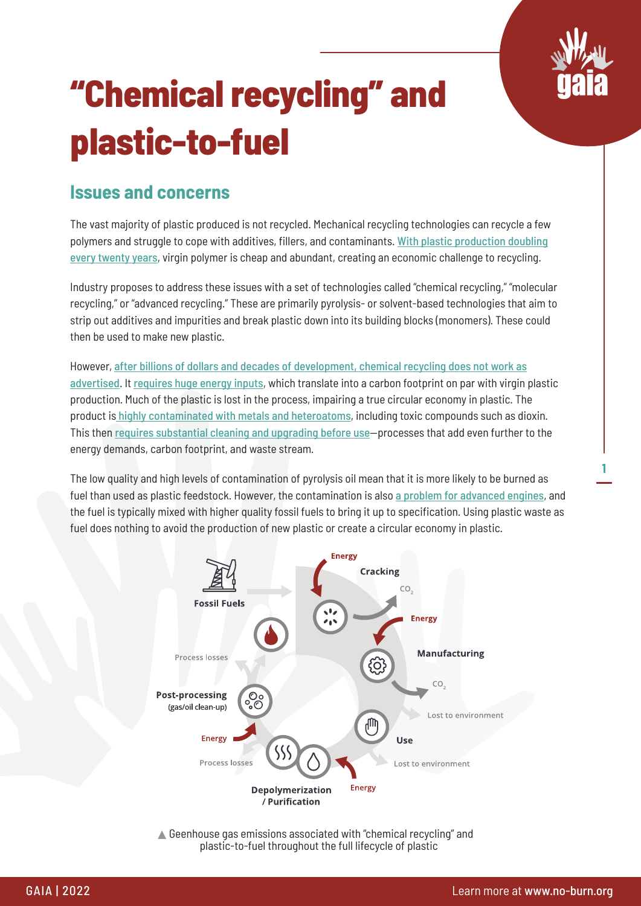

**1**

# **"Chemical recycling" and plastic-to-fuel**

#### **Issues and concerns**

The vast majority of plastic produced is not recycled. Mechanical recycling technologies can recycle a few polymers and struggle to cope with additives, fillers, and contaminants. [With plastic production doubling](https://www.science.org/doi/10.1126/sciadv.1700782) [every twenty years](https://www.science.org/doi/10.1126/sciadv.1700782), virgin polymer is cheap and abundant, creating an economic challenge to recycling.

Industry proposes to address these issues with a set of technologies called "chemical recycling," "molecular recycling," or "advanced recycling." These are primarily pyrolysis- or solvent-based technologies that aim to strip out additives and impurities and break plastic down into its building blocks (monomers). These could then be used to make new plastic.

However, [after billions of dollars and decades of development, chemical recycling does not work as](https://www.no-burn.org/gasification-pyrolysis-risk-analysis/) [advertised](https://www.no-burn.org/gasification-pyrolysis-risk-analysis/). It [requires huge energy inputs](https://doi.org/10.46556/onls4535), which translate into a carbon footprint on par with virgin plastic production. Much of the plastic is lost in the process, impairing a true circular economy in plastic. The product is [highly contaminated with metals and heteroatoms](https://doi.org/10.46556/onls4535), including toxic compounds such as dioxin. This then [requires substantial cleaning and upgrading before use](https://doi.org/10.46556/onls4535)—processes that add even further to the energy demands, carbon footprint, and waste stream.

The low quality and high levels of contamination of pyrolysis oil mean that it is more likely to be burned as fuel than used as plastic feedstock. However, the contamination is also [a problem for advanced engines](https://www.no-burn.org/resources/jet-fuels-made-from-municipal-waste/), and the fuel is typically mixed with higher quality fossil fuels to bring it up to specification. Using plastic waste as fuel does nothing to avoid the production of new plastic or create a circular economy in plastic.



▲ Geenhouse gas emissions associated with "chemical recycling" and plastic-to-fuel throughout the full lifecycle of plastic